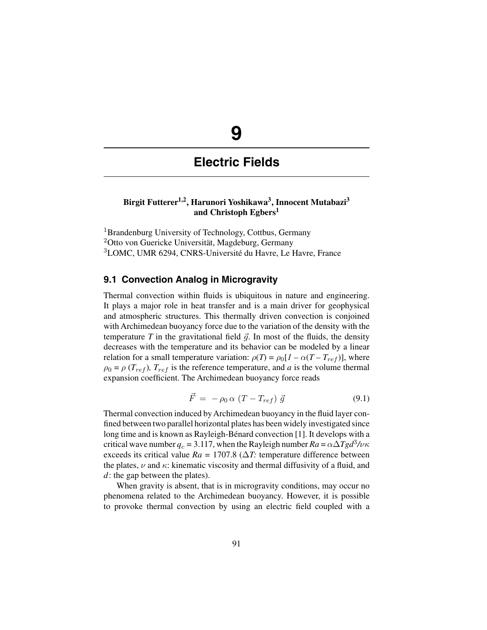# **9**

# **Electric Fields**

# **Birgit Futterer1,2, Harunori Yoshikawa3, Innocent Mutabazi3 and Christoph Egbers1**

<sup>1</sup>Brandenburg University of Technology, Cottbus, Germany <sup>2</sup>Otto von Guericke Universität, Magdeburg, Germany <sup>3</sup>LOMC, UMR 6294, CNRS-Université du Havre, Le Havre, France

# **9.1 Convection Analog in Microgravity**

Thermal convection within fluids is ubiquitous in nature and engineering. It plays a major role in heat transfer and is a main driver for geophysical and atmospheric structures. This thermally driven convection is conjoined with Archimedean buoyancy force due to the variation of the density with the temperature  $T$  in the gravitational field  $\vec{g}$ . In most of the fluids, the density decreases with the temperature and its behavior can be modeled by a linear relation for a small temperature variation:  $\rho(T) = \rho_0[I - \alpha(T - T_{ref})]$ , where  $\rho_0 = \rho (T_{ref})$ ,  $T_{ref}$  is the reference temperature, and *a* is the volume thermal expansion coefficient. The Archimedean buoyancy force reads

$$
\vec{F} = -\rho_0 \alpha \left( T - T_{ref} \right) \vec{g} \tag{9.1}
$$

Thermal convection induced by Archimedean buoyancy in the fluid layer confined between two parallel horizontal plates has been widely investigated since long time and is known as Rayleigh-Bénard convection [1]. It develops with a critical wave number  $q_c = 3.117$ , when the Rayleigh number  $Ra = \alpha \Delta T g d^3 / \nu \kappa$ exceeds its critical value  $Ra = 1707.8$  ( $\Delta T$ : temperature difference between the plates,  $\nu$  and  $\kappa$ : kinematic viscosity and thermal diffusivity of a fluid, and *d*: the gap between the plates).

When gravity is absent, that is in microgravity conditions, may occur no phenomena related to the Archimedean buoyancy. However, it is possible to provoke thermal convection by using an electric field coupled with a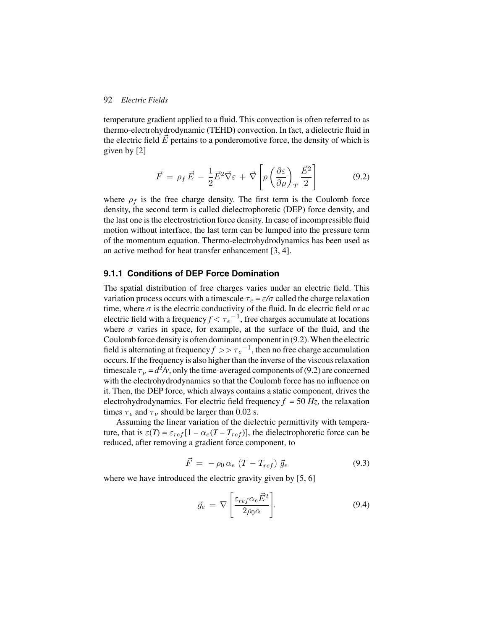temperature gradient applied to a fluid. This convection is often referred to as thermo-electrohydrodynamic (TEHD) convection. In fact, a dielectric fluid in the electric field  $\vec{E}$  pertains to a ponderomotive force, the density of which is given by [2]

$$
\vec{F} = \rho_f \vec{E} - \frac{1}{2} \vec{E}^2 \vec{\nabla} \varepsilon + \vec{\nabla} \left[ \rho \left( \frac{\partial \varepsilon}{\partial \rho} \right)_T \frac{\vec{E}^2}{2} \right]
$$
(9.2)

where  $\rho_f$  is the free charge density. The first term is the Coulomb force density, the second term is called dielectrophoretic (DEP) force density, and the last one is the electrostriction force density. In case of incompressible fluid motion without interface, the last term can be lumped into the pressure term of the momentum equation. Thermo-electrohydrodynamics has been used as an active method for heat transfer enhancement [3, 4].

#### **9.1.1 Conditions of DEP Force Domination**

The spatial distribution of free charges varies under an electric field. This variation process occurs with a timescale  $\tau_e = \varepsilon/\sigma$  called the charge relaxation time, where  $\sigma$  is the electric conductivity of the fluid. In dc electric field or ac electric field with a frequency  $f < \tau_e^{-1}$ , free charges accumulate at locations where  $\sigma$  varies in space, for example, at the surface of the fluid, and the Coulomb force density is often dominant component in (9.2). When the electric field is alternating at frequency  $f \gg \tau_e^{-1}$ , then no free charge accumulation occurs. If the frequency is also higher than the inverse of the viscous relaxation timescale  $\tau_{\nu} = d^2 \nu$ , only the time-averaged components of (9.2) are concerned with the electrohydrodynamics so that the Coulomb force has no influence on it. Then, the DEP force, which always contains a static component, drives the electrohydrodynamics. For electric field frequency  $f = 50$   $Hz$ , the relaxation times  $\tau_e$  and  $\tau_v$  should be larger than 0.02 s.

Assuming the linear variation of the dielectric permittivity with temperature, that is  $\varepsilon(T) = \varepsilon_{ref}[1 - \alpha_e(T - T_{ref})]$ , the dielectrophoretic force can be reduced, after removing a gradient force component, to

$$
\vec{F} = -\rho_0 \alpha_e (T - T_{ref}) \vec{g}_e \tag{9.3}
$$

where we have introduced the electric gravity given by [5, 6]

$$
\vec{g}_e = \nabla \left[ \frac{\varepsilon_{ref} \alpha_e \vec{E}^2}{2\rho_0 \alpha} \right]. \tag{9.4}
$$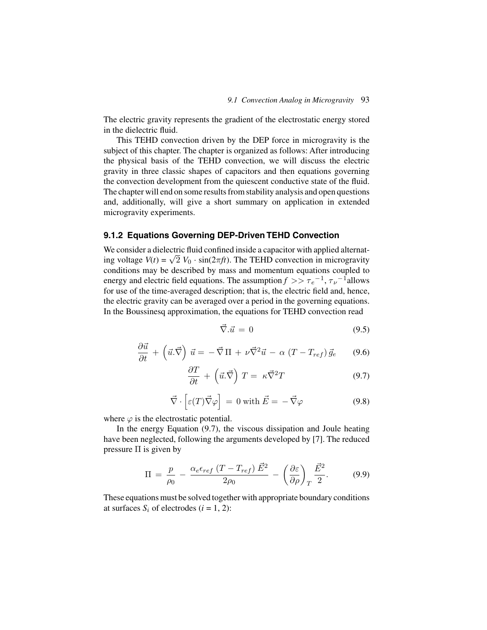The electric gravity represents the gradient of the electrostatic energy stored in the dielectric fluid.

This TEHD convection driven by the DEP force in microgravity is the subject of this chapter. The chapter is organized as follows: After introducing the physical basis of the TEHD convection, we will discuss the electric gravity in three classic shapes of capacitors and then equations governing the convection development from the quiescent conductive state of the fluid. The chapter will end on some results from stability analysis and open questions and, additionally, will give a short summary on application in extended microgravity experiments.

#### **9.1.2 Equations Governing DEP-Driven TEHD Convection**

We consider a dielectric fluid confined inside a capacitor with applied alternating voltage  $V(t) = \sqrt{2} V_0 \cdot \sin(2\pi ft)$ . The TEHD convection in microgravity conditions may be described by mass and momentum equations coupled to energy and electric field equations. The assumption  $f \gg \tau_e^{-1}$ ,  $\tau_{\nu}^{-1}$ allows for use of the time-averaged description; that is, the electric field and, hence, the electric gravity can be averaged over a period in the governing equations. In the Boussinesq approximation, the equations for TEHD convection read

$$
\vec{\nabla}.\vec{u} = 0 \tag{9.5}
$$

$$
\frac{\partial \vec{u}}{\partial t} + \left(\vec{u}.\vec{\nabla}\right)\vec{u} = -\vec{\nabla}\Pi + \nu\vec{\nabla}^2\vec{u} - \alpha\left(T - T_{ref}\right)\vec{g}_e \qquad (9.6)
$$

$$
\frac{\partial T}{\partial t} + \left(\vec{u}.\vec{\nabla}\right)T = \kappa \vec{\nabla}^2 T \tag{9.7}
$$

$$
\vec{\nabla} \cdot \left[ \varepsilon(T) \vec{\nabla} \varphi \right] = 0 \text{ with } \vec{E} = -\vec{\nabla} \varphi \tag{9.8}
$$

where  $\varphi$  is the electrostatic potential.

In the energy Equation (9.7), the viscous dissipation and Joule heating have been neglected, following the arguments developed by [7]. The reduced pressure  $\Pi$  is given by

$$
\Pi = \frac{p}{\rho_0} - \frac{\alpha_e \epsilon_{ref} (T - T_{ref}) \vec{E}^2}{2\rho_0} - \left(\frac{\partial \varepsilon}{\partial \rho}\right)_T \frac{\vec{E}^2}{2}.
$$
 (9.9)

These equations must be solved together with appropriate boundary conditions at surfaces  $S_i$  of electrodes ( $i = 1, 2$ ):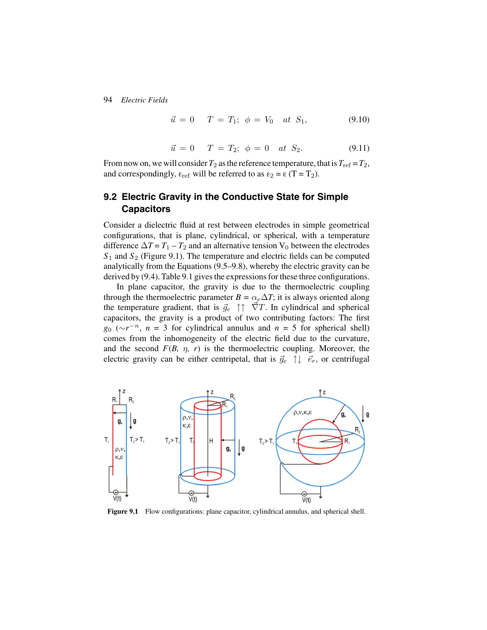$$
\vec{u} = 0 \quad T = T_1; \ \phi = V_0 \quad at \ S_1,\tag{9.10}
$$

$$
\vec{u} = 0 \quad T = T_2; \ \phi = 0 \quad at \ S_2. \tag{9.11}
$$

From now on, we will consider  $T_2$  as the reference temperature, that is  $T_{\text{ref}} = T_2$ , and correspondingly,  $\varepsilon_{ref}$  will be referred to as  $\varepsilon_2 = \varepsilon (T = T_2)$ .

# **9.2 Electric Gravity in the Conductive State for Simple Capacitors**

Consider a dielectric fluid at rest between electrodes in simple geometrical configurations, that is plane, cylindrical, or spherical, with a temperature difference  $\Delta T = T_1 - T_2$  and an alternative tension V<sub>0</sub> between the electrodes *S*<sup>1</sup> and *S*<sup>2</sup> (Figure 9.1). The temperature and electric fields can be computed analytically from the Equations (9.5–9.8), whereby the electric gravity can be derived by (9.4). Table 9.1 gives the expressions for these three configurations.

In plane capacitor, the gravity is due to the thermoelectric coupling through the thermoelectric parameter  $B = \alpha_e \Delta T$ ; it is always oriented along the temperature gradient, that is  $\vec{g}_e \uparrow \uparrow \vec{\nabla}T$ . In cylindrical and spherical capacitors, the gravity is a product of two contributing factors: The first  $g_0$  ( $\sim r^{-n}$ , *n* = 3 for cylindrical annulus and *n* = 5 for spherical shell) comes from the inhomogeneity of the electric field due to the curvature, and the second  $F(B, \eta, r)$  is the thermoelectric coupling. Moreover, the electric gravity can be either centripetal, that is  $\vec{g}_e \uparrow \downarrow \vec{e}_r$ , or centrifugal



**Figure 9.1** Flow configurations: plane capacitor, cylindrical annulus, and spherical shell.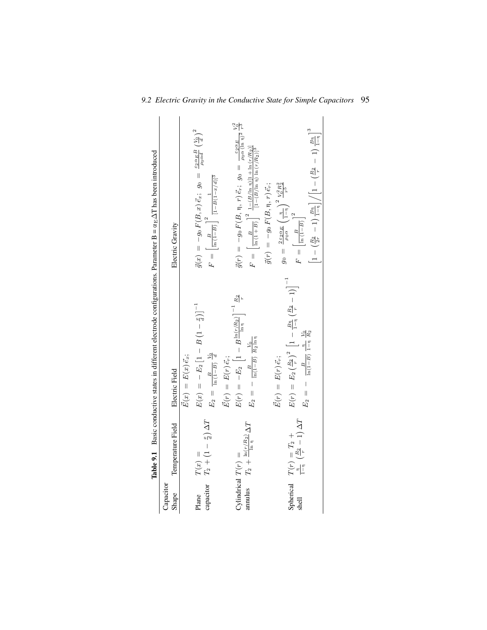|                      |                                                                                              | <b>Table 9.1</b> Basic conductive states in different electrode configurations. Parameter $B = \alpha_E \Delta T$ has been introduced |                                                                                                                                                                         |
|----------------------|----------------------------------------------------------------------------------------------|---------------------------------------------------------------------------------------------------------------------------------------|-------------------------------------------------------------------------------------------------------------------------------------------------------------------------|
| Capacitor<br>Shape   | Temperature Field                                                                            | Electric Field                                                                                                                        | Electric Gravity                                                                                                                                                        |
|                      |                                                                                              | $\vec{E}(x) = E(x) \vec{e}_x;$                                                                                                        |                                                                                                                                                                         |
| Plane                | $\begin{array}{l} T(x) \,=\qquad \\ T_2 + \left(1 - \frac{x}{d}\right) \Delta T \end{array}$ | $E(x) = - E_2 [1 - B(1 - \frac{x}{d})]^{-1}$                                                                                          | $\vec{g}(x) = -g_0 F(B, x) \vec{e}_x; g_0 = \frac{\varepsilon_{2} \alpha_E B}{\rho_0 \alpha d} \left(\frac{V_0}{d}\right)^2$                                            |
| capacitor            |                                                                                              | $E_2 = \frac{B}{\ln(1-B)} \frac{V_0}{d}$                                                                                              | $F = \left[\frac{B}{\ln(1-B)}\right]^2 \frac{1}{[1-B(1-x/d)]^3}$                                                                                                        |
|                      |                                                                                              | $E(r) = E(r) \vec{e_r};$                                                                                                              |                                                                                                                                                                         |
| Cylindrical $T(r)$ = |                                                                                              | $E(r) = -E_2 \left[1 - B \frac{\ln(r/R_2)}{\ln n}\right]^{-1} \frac{R_2}{r}$                                                          | $\vec{g}(r) \;=\; -g_0\,F(B,\,\eta,\,r)\,\vec{e}_r; \;\, g_0 \;=\; \tfrac{c_2\alpha_E}{\rho_0\,\alpha\,( \ln\,\eta)^2} \, \tfrac{V_0^2}{r^3}$                           |
|                      | annulus $T_2 + \frac{\ln(r/R_2)}{\ln \eta} \Delta T$                                         | $E_2 = - \frac{B}{\ln(1-B)} \frac{V_0}{R_2 \ln \eta}$                                                                                 | $F \,=\, \left[\frac{B}{\ln\left(1+B\right)}\right]^2\,\frac{1-(B/\ln\,\eta)[1+\ln\left(r/R_2\right)]}{[1-(B/\ln\,\eta)\,\ln\left(r/R_2\right)]^3}$                     |
|                      |                                                                                              |                                                                                                                                       | $\vec{g}(r) \, = \, -g_0 \, F(B,\eta,\, r) \, \vec{e}_r;$                                                                                                               |
|                      |                                                                                              | $E(r) = E(r) \tilde{e}_r;$                                                                                                            | $g_0\,=\,\frac{2\,\varepsilon_2\,\alpha_E}{\rho_0\alpha}\left(\frac{\eta}{1-\eta}\right)^2\frac{V_0^2\,R_2^2}{r^5}$                                                     |
|                      | Spherical $T(r) = T_2 +$<br>shell $\frac{1}{1-n} \left( \frac{R_2}{r} - 1 \right) \Delta T$  | $E(r) = E_2 \left(\frac{R_2}{r}\right)^2 \left[1 - \frac{B_{\text{II}}}{1 - \eta} \left(\frac{R_2}{r} - 1\right)\right]^{-1}$         |                                                                                                                                                                         |
|                      |                                                                                              | $E_2 = - \frac{B}{\ln(1-B)} \frac{v_0}{1-v_1}$                                                                                        | $F=\left \frac{B}{\ln\left(1-B\right)}\right $                                                                                                                          |
|                      |                                                                                              |                                                                                                                                       | $\left\lfloor 1 - \left(\tfrac{R_2}{2r} - 1\right) \tfrac{B\eta}{1-\eta} \right\rfloor \Big/ \left[1 - \left(\tfrac{R_2}{r} - 1\right) \tfrac{B\eta}{1-\eta} \right]^3$ |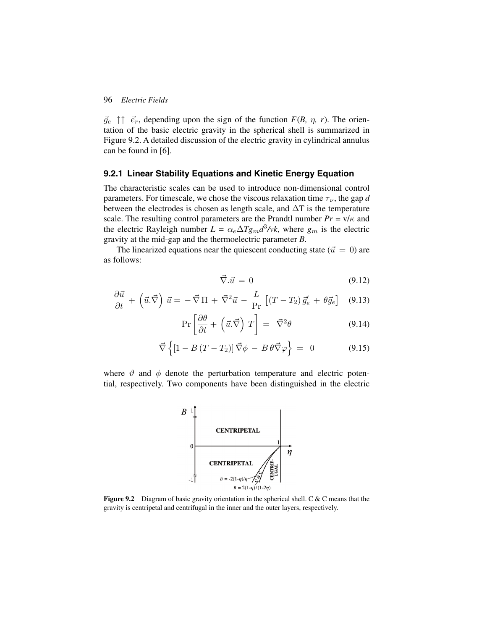$\vec{g}_e \uparrow \uparrow \vec{e}_r$ , depending upon the sign of the function  $F(B, \eta, r)$ . The orientation of the basic electric gravity in the spherical shell is summarized in Figure 9.2. A detailed discussion of the electric gravity in cylindrical annulus can be found in [6].

#### **9.2.1 Linear Stability Equations and Kinetic Energy Equation**

The characteristic scales can be used to introduce non-dimensional control parameters. For timescale, we chose the viscous relaxation time  $\tau_{\nu}$ , the gap *d* between the electrodes is chosen as length scale, and  $\Delta T$  is the temperature scale. The resulting control parameters are the Prandtl number  $Pr = v/k$  and the electric Rayleigh number  $L = \alpha_e \Delta T g_m d^3 / v k$ , where  $g_m$  is the electric gravity at the mid-gap and the thermoelectric parameter *B*.

The linearized equations near the quiescent conducting state ( $\vec{u} = 0$ ) are as follows:

$$
\vec{\nabla}.\vec{u} = 0 \tag{9.12}
$$

$$
\frac{\partial \vec{u}}{\partial t} + \left(\vec{u}.\vec{\nabla}\right)\vec{u} = -\vec{\nabla}\Pi + \vec{\nabla}^2\vec{u} - \frac{L}{\text{Pr}}\left[ (T - T_2)\vec{g}_e' + \theta\vec{g}_e \right] \quad (9.13)
$$

$$
\Pr\left[\frac{\partial \theta}{\partial t} + \left(\vec{u}.\vec{\nabla}\right)T\right] = \vec{\nabla}^2 \theta \tag{9.14}
$$

$$
\vec{\nabla}\left\{ \left[1 - B\left(T - T_2\right)\right] \vec{\nabla}\phi - B\,\theta\vec{\nabla}\varphi \right\} = 0 \tag{9.15}
$$

where  $\vartheta$  and  $\varphi$  denote the perturbation temperature and electric potential, respectively. Two components have been distinguished in the electric



**Figure 9.2** Diagram of basic gravity orientation in the spherical shell. C & C means that the gravity is centripetal and centrifugal in the inner and the outer layers, respectively.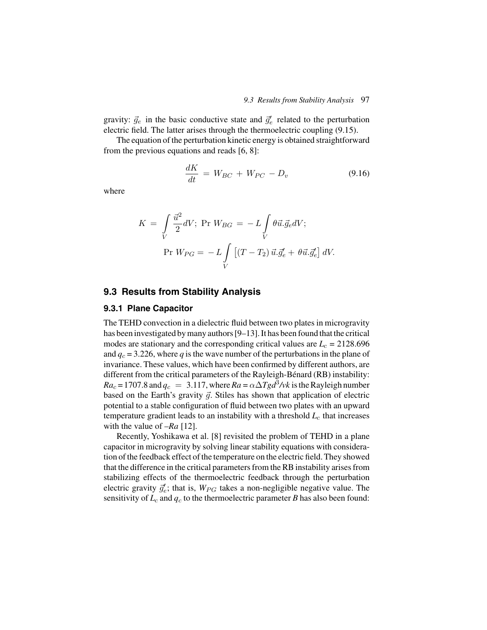gravity:  $\vec{g}_e$  in the basic conductive state and  $\vec{g}'_e$  related to the perturbation electric field. The latter arises through the thermoelectric coupling (9.15).

The equation of the perturbation kinetic energy is obtained straightforward from the previous equations and reads [6, 8]:

$$
\frac{dK}{dt} = W_{BC} + W_{PC} - D_v \tag{9.16}
$$

where

$$
K = \int\limits_V \frac{\vec{u}^2}{2} dV; \text{ Pr } W_{BG} = -L \int\limits_V \theta \vec{u} . \vec{g}_e dV; \text{ Pr } W_{PG} = -L \int\limits_V \left[ (T - T_2) \, \vec{u} . \vec{g}'_e + \theta \vec{u} . \vec{g}'_e \right] dV.
$$

#### **9.3 Results from Stability Analysis**

#### **9.3.1 Plane Capacitor**

The TEHD convection in a dielectric fluid between two plates in microgravity has been investigated by many authors [9–13]. It has been found that the critical modes are stationary and the corresponding critical values are  $L_c = 2128.696$ and  $q_c = 3.226$ , where *q* is the wave number of the perturbations in the plane of invariance. These values, which have been confirmed by different authors, are different from the critical parameters of the Rayleigh-Bénard (RB) instability:  $Ra_c = 1707.8$  and  $q_c = 3.117$ , where  $Ra = \alpha \Delta T g d^3 / v k$  is the Rayleigh number based on the Earth's gravity  $\vec{g}$ . Stiles has shown that application of electric potential to a stable configuration of fluid between two plates with an upward temperature gradient leads to an instability with a threshold  $L_c$  that increases with the value of –*Ra* [12].

Recently, Yoshikawa et al. [8] revisited the problem of TEHD in a plane capacitor in microgravity by solving linear stability equations with consideration of the feedback effect of the temperature on the electric field. They showed that the difference in the critical parameters from the RB instability arises from stabilizing effects of the thermoelectric feedback through the perturbation electric gravity  $\vec{g}_e'$ ; that is,  $W_{PG}$  takes a non-negligible negative value. The sensitivity of  $L_c$  and  $q_c$  to the thermoelectric parameter *B* has also been found: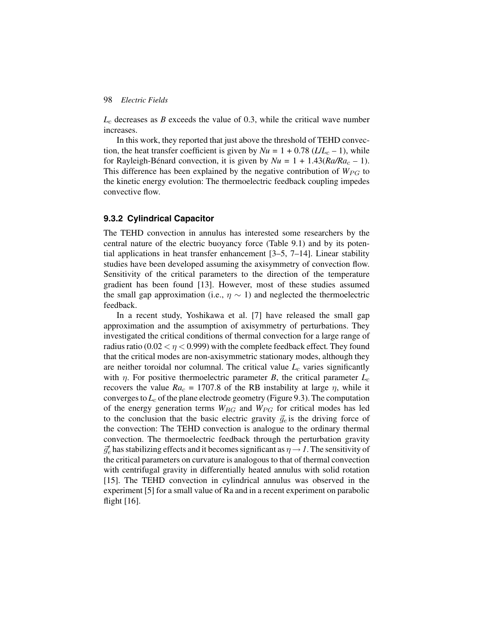$L_c$  decreases as *B* exceeds the value of 0.3, while the critical wave number increases.

In this work, they reported that just above the threshold of TEHD convection, the heat transfer coefficient is given by  $Nu = 1 + 0.78$  ( $L/L_c - 1$ ), while for Rayleigh-Bénard convection, it is given by  $Nu = 1 + 1.43(Ra/Ra_c - 1)$ . This difference has been explained by the negative contribution of  $W_{PG}$  to the kinetic energy evolution: The thermoelectric feedback coupling impedes convective flow.

#### **9.3.2 Cylindrical Capacitor**

The TEHD convection in annulus has interested some researchers by the central nature of the electric buoyancy force (Table 9.1) and by its potential applications in heat transfer enhancement [3–5, 7–14]. Linear stability studies have been developed assuming the axisymmetry of convection flow. Sensitivity of the critical parameters to the direction of the temperature gradient has been found [13]. However, most of these studies assumed the small gap approximation (i.e.,  $\eta \sim 1$ ) and neglected the thermoelectric feedback.

In a recent study, Yoshikawa et al. [7] have released the small gap approximation and the assumption of axisymmetry of perturbations. They investigated the critical conditions of thermal convection for a large range of radius ratio ( $0.02 < \eta < 0.999$ ) with the complete feedback effect. They found that the critical modes are non-axisymmetric stationary modes, although they are neither toroidal nor columnal. The critical value  $L_c$  varies significantly with  $\eta$ . For positive thermoelectric parameter *B*, the critical parameter  $L_c$ recovers the value  $Ra_c = 1707.8$  of the RB instability at large  $\eta$ , while it converges to  $L_c$  of the plane electrode geometry (Figure 9.3). The computation of the energy generation terms  $W_{BG}$  and  $W_{PG}$  for critical modes has led to the conclusion that the basic electric gravity  $\vec{g}_e$  is the driving force of the convection: The TEHD convection is analogue to the ordinary thermal convection. The thermoelectric feedback through the perturbation gravity  $\vec{g}_e'$  has stabilizing effects and it becomes significant as  $\eta \rightarrow I$ . The sensitivity of the critical parameters on curvature is analogous to that of thermal convection with centrifugal gravity in differentially heated annulus with solid rotation [15]. The TEHD convection in cylindrical annulus was observed in the experiment [5] for a small value of Ra and in a recent experiment on parabolic flight  $[16]$ .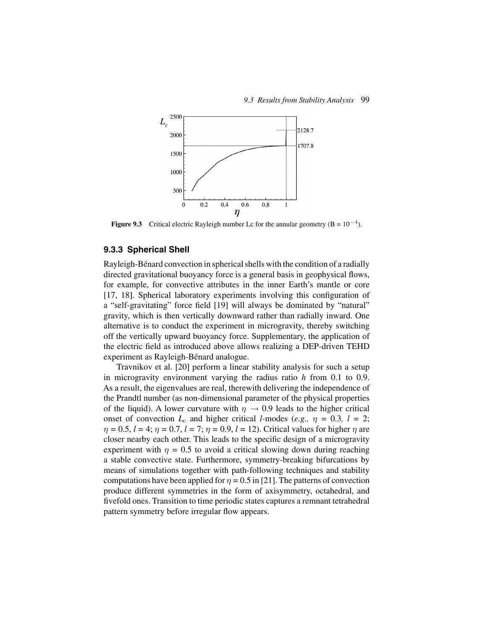

**Figure 9.3** Critical electric Rayleigh number Lc for the annular geometry  $(B = 10^{-4})$ .

#### **9.3.3 Spherical Shell**

Rayleigh-Bénard convection in spherical shells with the condition of a radially directed gravitational buoyancy force is a general basis in geophysical flows, for example, for convective attributes in the inner Earth's mantle or core [17, 18]. Spherical laboratory experiments involving this configuration of a "self-gravitating" force field [19] will always be dominated by "natural" gravity, which is then vertically downward rather than radially inward. One alternative is to conduct the experiment in microgravity, thereby switching off the vertically upward buoyancy force. Supplementary, the application of the electric field as introduced above allows realizing a DEP-driven TEHD experiment as Rayleigh-Bénard analogue.

Travnikov et al. [20] perform a linear stability analysis for such a setup in microgravity environment varying the radius ratio *h* from 0.1 to 0.9. As a result, the eigenvalues are real, therewith delivering the independence of the Prandtl number (as non-dimensional parameter of the physical properties of the liquid). A lower curvature with  $\eta \rightarrow 0.9$  leads to the higher critical onset of convection  $L_c$  and higher critical *l*-modes (*e.g.,*  $\eta = 0.3$ ,  $l = 2$ ;  $\eta = 0.5, l = 4; \eta = 0.7, l = 7; \eta = 0.9, l = 12$ ). Critical values for higher  $\eta$  are closer nearby each other. This leads to the specific design of a microgravity experiment with  $\eta = 0.5$  to avoid a critical slowing down during reaching a stable convective state. Furthermore, symmetry-breaking bifurcations by means of simulations together with path-following techniques and stability computations have been applied for  $\eta = 0.5$  in [21]. The patterns of convection produce different symmetries in the form of axisymmetry, octahedral, and fivefold ones. Transition to time periodic states captures a remnant tetrahedral pattern symmetry before irregular flow appears.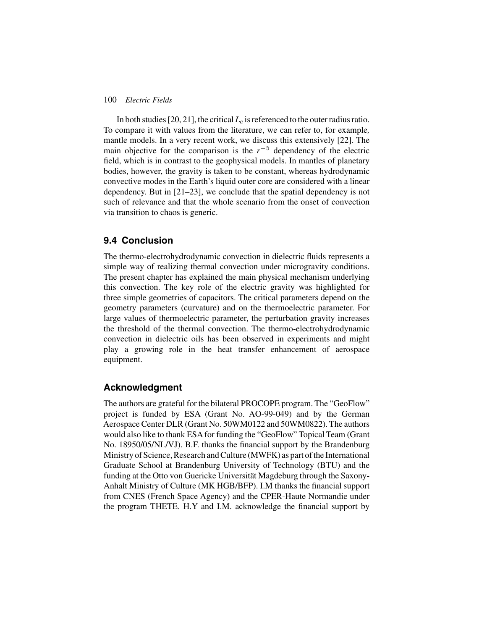In both studies [20, 21], the critical  $L_c$  is referenced to the outer radius ratio. To compare it with values from the literature, we can refer to, for example*,* mantle models. In a very recent work, we discuss this extensively [22]. The main objective for the comparison is the  $r^{-5}$  dependency of the electric field, which is in contrast to the geophysical models. In mantles of planetary bodies, however, the gravity is taken to be constant, whereas hydrodynamic convective modes in the Earth's liquid outer core are considered with a linear dependency. But in [21–23], we conclude that the spatial dependency is not such of relevance and that the whole scenario from the onset of convection via transition to chaos is generic.

## **9.4 Conclusion**

The thermo-electrohydrodynamic convection in dielectric fluids represents a simple way of realizing thermal convection under microgravity conditions. The present chapter has explained the main physical mechanism underlying this convection. The key role of the electric gravity was highlighted for three simple geometries of capacitors. The critical parameters depend on the geometry parameters (curvature) and on the thermoelectric parameter. For large values of thermoelectric parameter, the perturbation gravity increases the threshold of the thermal convection. The thermo-electrohydrodynamic convection in dielectric oils has been observed in experiments and might play a growing role in the heat transfer enhancement of aerospace equipment.

## **Acknowledgment**

The authors are grateful for the bilateral PROCOPE program. The "GeoFlow" project is funded by ESA (Grant No. AO-99-049) and by the German Aerospace Center DLR (Grant No. 50WM0122 and 50WM0822). The authors would also like to thank ESA for funding the "GeoFlow" Topical Team (Grant No. 18950/05/NL/VJ). B.F. thanks the financial support by the Brandenburg Ministry of Science, Research and Culture (MWFK) as part of the International Graduate School at Brandenburg University of Technology (BTU) and the funding at the Otto von Guericke Universität Magdeburg through the Saxony-Anhalt Ministry of Culture (MK HGB/BFP). I.M thanks the financial support from CNES (French Space Agency) and the CPER-Haute Normandie under the program THETE. H.Y and I.M. acknowledge the financial support by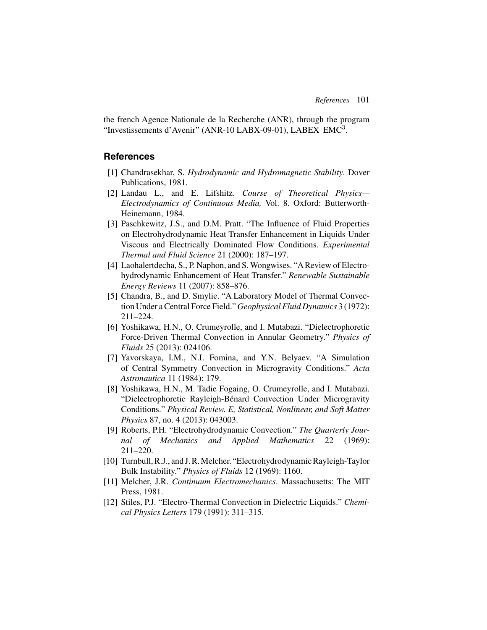the french Agence Nationale de la Recherche (ANR), through the program "Investissements d'Avenir" (ANR-10 LABX-09-01), LABEX EMC<sup>3</sup>.

# **References**

- [1] Chandrasekhar, S. *Hydrodynamic and Hydromagnetic Stability*. Dover Publications, 1981.
- [2] Landau L., and E. Lifshitz. *Course of Theoretical Physics— Electrodynamics of Continuous Media,* Vol. 8. Oxford: Butterworth-Heinemann, 1984.
- [3] Paschkewitz, J.S., and D.M. Pratt. "The Influence of Fluid Properties on Electrohydrodynamic Heat Transfer Enhancement in Liquids Under Viscous and Electrically Dominated Flow Conditions. *Experimental Thermal and Fluid Science* 21 (2000): 187–197.
- [4] Laohalertdecha, S., P. Naphon, and S. Wongwises. "AReview of Electrohydrodynamic Enhancement of Heat Transfer." *Renewable Sustainable Energy Reviews* 11 (2007): 858–876.
- [5] Chandra, B., and D. Smylie. "A Laboratory Model of Thermal Convection Under a Central Force Field." *Geophysical Fluid Dynamics* 3 (1972): 211–224.
- [6] Yoshikawa, H.N., O. Crumeyrolle, and I. Mutabazi. "Dielectrophoretic Force-Driven Thermal Convection in Annular Geometry." *Physics of Fluids* 25 (2013): 024106.
- [7] Yavorskaya, I.M., N.I. Fomina, and Y.N. Belyaev. "A Simulation of Central Symmetry Convection in Microgravity Conditions." *Acta Astronautica* 11 (1984): 179.
- [8] Yoshikawa, H.N., M. Tadie Fogaing, O. Crumeyrolle, and I. Mutabazi. "Dielectrophoretic Rayleigh-Bénard Convection Under Microgravity Conditions." *Physical Review. E, Statistical, Nonlinear, and Soft Matter Physics* 87, no. 4 (2013): 043003.
- [9] Roberts, P.H. "Electrohydrodynamic Convection." *The Quarterly Journal of Mechanics and Applied Mathematics* 22 (1969): 211–220.
- [10] Turnbull, R.J., and J. R. Melcher. "Electrohydrodynamic Rayleigh-Taylor Bulk Instability." *Physics of Fluids* 12 (1969): 1160.
- [11] Melcher, J.R. *Continuum Electromechanics*. Massachusetts: The MIT Press, 1981.
- [12] Stiles, P.J. "Electro-Thermal Convection in Dielectric Liquids." *Chemical Physics Letters* 179 (1991): 311–315.